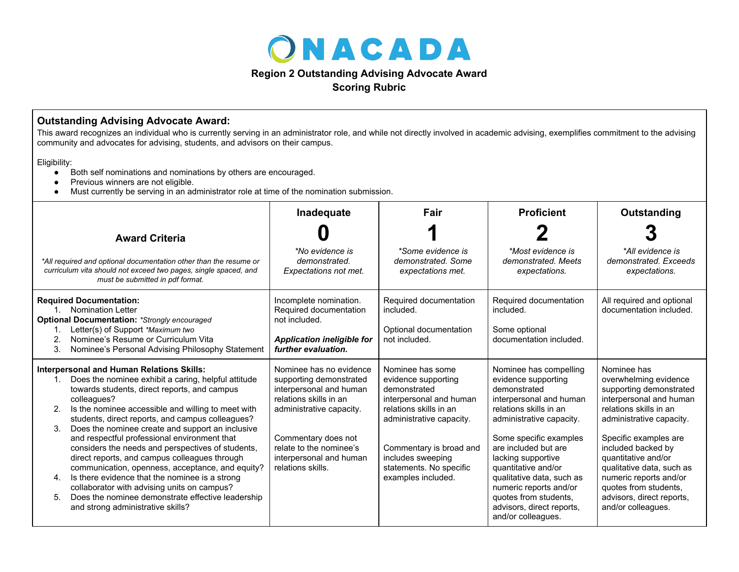

## **Region 2 Outstanding Advising Advocate Award**

**Scoring Rubric**

## **Outstanding Advising Advocate Award:**

This award recognizes an individual who is currently serving in an administrator role, and while not directly involved in academic advising, exemplifies commitment to the advising community and advocates for advising, students, and advisors on their campus.

Eligibility:

- Both self nominations and nominations by others are encouraged.
- Previous winners are not eligible.
- Must currently be serving in an administrator role at time of the nomination submission.

|                                                                                                                                                                                                                                                                                                                                                                                                                                                                                                                                                                                                                                                                                                                                                                   | Inadequate                                                                                                                                                                                                                            | Fair                                                                                                                                                                                                                                      | <b>Proficient</b>                                                                                                                                                                                                                                                                                                                                                                | Outstanding                                                                                                                                                                                                                                                                                                                                               |
|-------------------------------------------------------------------------------------------------------------------------------------------------------------------------------------------------------------------------------------------------------------------------------------------------------------------------------------------------------------------------------------------------------------------------------------------------------------------------------------------------------------------------------------------------------------------------------------------------------------------------------------------------------------------------------------------------------------------------------------------------------------------|---------------------------------------------------------------------------------------------------------------------------------------------------------------------------------------------------------------------------------------|-------------------------------------------------------------------------------------------------------------------------------------------------------------------------------------------------------------------------------------------|----------------------------------------------------------------------------------------------------------------------------------------------------------------------------------------------------------------------------------------------------------------------------------------------------------------------------------------------------------------------------------|-----------------------------------------------------------------------------------------------------------------------------------------------------------------------------------------------------------------------------------------------------------------------------------------------------------------------------------------------------------|
| <b>Award Criteria</b>                                                                                                                                                                                                                                                                                                                                                                                                                                                                                                                                                                                                                                                                                                                                             |                                                                                                                                                                                                                                       |                                                                                                                                                                                                                                           |                                                                                                                                                                                                                                                                                                                                                                                  |                                                                                                                                                                                                                                                                                                                                                           |
| *All required and optional documentation other than the resume or<br>curriculum vita should not exceed two pages, single spaced, and<br>must be submitted in pdf format.                                                                                                                                                                                                                                                                                                                                                                                                                                                                                                                                                                                          | *No evidence is<br>demonstrated.<br>Expectations not met.                                                                                                                                                                             | *Some evidence is<br>demonstrated. Some<br>expectations met.                                                                                                                                                                              | *Most evidence is<br>demonstrated. Meets<br>expectations.                                                                                                                                                                                                                                                                                                                        | *All evidence is<br>demonstrated, Exceeds<br>expectations.                                                                                                                                                                                                                                                                                                |
| <b>Required Documentation:</b><br>1. Nomination Letter<br><b>Optional Documentation: *Strongly encouraged</b><br>Letter(s) of Support *Maximum two<br>Nominee's Resume or Curriculum Vita<br>2.<br>Nominee's Personal Advising Philosophy Statement<br>3.                                                                                                                                                                                                                                                                                                                                                                                                                                                                                                         | Incomplete nomination.<br>Required documentation<br>not included.<br><b>Application ineligible for</b><br>further evaluation.                                                                                                         | Required documentation<br>included.<br>Optional documentation<br>not included.                                                                                                                                                            | Required documentation<br>included.<br>Some optional<br>documentation included.                                                                                                                                                                                                                                                                                                  | All required and optional<br>documentation included.                                                                                                                                                                                                                                                                                                      |
| <b>Interpersonal and Human Relations Skills:</b><br>Does the nominee exhibit a caring, helpful attitude<br>towards students, direct reports, and campus<br>colleagues?<br>Is the nominee accessible and willing to meet with<br>2.<br>students, direct reports, and campus colleagues?<br>Does the nominee create and support an inclusive<br>3.<br>and respectful professional environment that<br>considers the needs and perspectives of students,<br>direct reports, and campus colleagues through<br>communication, openness, acceptance, and equity?<br>Is there evidence that the nominee is a strong<br>4.<br>collaborator with advising units on campus?<br>Does the nominee demonstrate effective leadership<br>5.<br>and strong administrative skills? | Nominee has no evidence<br>supporting demonstrated<br>interpersonal and human<br>relations skills in an<br>administrative capacity.<br>Commentary does not<br>relate to the nominee's<br>interpersonal and human<br>relations skills. | Nominee has some<br>evidence supporting<br>demonstrated<br>interpersonal and human<br>relations skills in an<br>administrative capacity.<br>Commentary is broad and<br>includes sweeping<br>statements. No specific<br>examples included. | Nominee has compelling<br>evidence supporting<br>demonstrated<br>interpersonal and human<br>relations skills in an<br>administrative capacity.<br>Some specific examples<br>are included but are<br>lacking supportive<br>quantitative and/or<br>qualitative data, such as<br>numeric reports and/or<br>quotes from students,<br>advisors, direct reports,<br>and/or colleagues. | Nominee has<br>overwhelming evidence<br>supporting demonstrated<br>interpersonal and human<br>relations skills in an<br>administrative capacity.<br>Specific examples are<br>included backed by<br>quantitative and/or<br>qualitative data, such as<br>numeric reports and/or<br>quotes from students,<br>advisors, direct reports,<br>and/or colleagues. |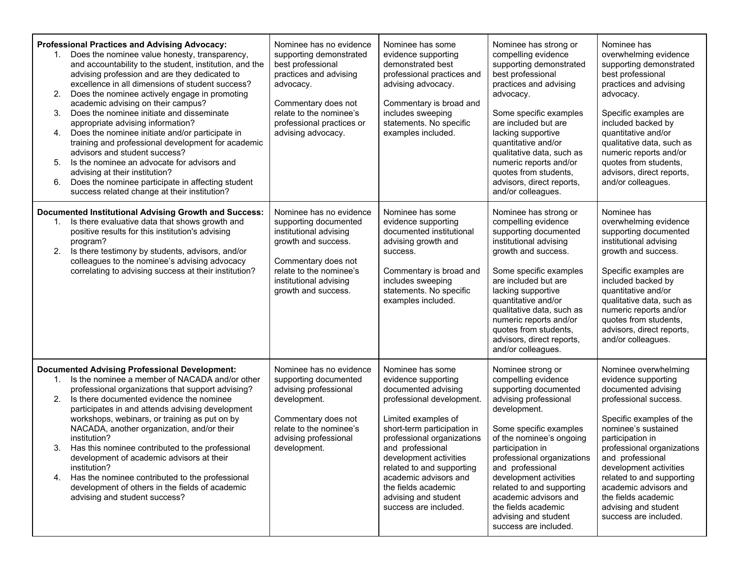| Professional Practices and Advising Advocacy:<br>Does the nominee value honesty, transparency,<br>1.<br>and accountability to the student, institution, and the<br>advising profession and are they dedicated to<br>excellence in all dimensions of student success?<br>2.<br>Does the nominee actively engage in promoting<br>academic advising on their campus?<br>Does the nominee initiate and disseminate<br>3.<br>appropriate advising information?<br>Does the nominee initiate and/or participate in<br>4.<br>training and professional development for academic<br>advisors and student success?<br>5.<br>Is the nominee an advocate for advisors and<br>advising at their institution?<br>Does the nominee participate in affecting student<br>6.<br>success related change at their institution? | Nominee has no evidence<br>supporting demonstrated<br>best professional<br>practices and advising<br>advocacy.<br>Commentary does not<br>relate to the nominee's<br>professional practices or<br>advising advocacy. | Nominee has some<br>evidence supporting<br>demonstrated best<br>professional practices and<br>advising advocacy.<br>Commentary is broad and<br>includes sweeping<br>statements. No specific<br>examples included.                                                                                                                                           | Nominee has strong or<br>compelling evidence<br>supporting demonstrated<br>best professional<br>practices and advising<br>advocacy.<br>Some specific examples<br>are included but are<br>lacking supportive<br>quantitative and/or<br>qualitative data, such as<br>numeric reports and/or<br>quotes from students,<br>advisors, direct reports,<br>and/or colleagues.                          | Nominee has<br>overwhelming evidence<br>supporting demonstrated<br>best professional<br>practices and advising<br>advocacy.<br>Specific examples are<br>included backed by<br>quantitative and/or<br>qualitative data, such as<br>numeric reports and/or<br>quotes from students,<br>advisors, direct reports,<br>and/or colleagues.                                         |
|-------------------------------------------------------------------------------------------------------------------------------------------------------------------------------------------------------------------------------------------------------------------------------------------------------------------------------------------------------------------------------------------------------------------------------------------------------------------------------------------------------------------------------------------------------------------------------------------------------------------------------------------------------------------------------------------------------------------------------------------------------------------------------------------------------------|---------------------------------------------------------------------------------------------------------------------------------------------------------------------------------------------------------------------|-------------------------------------------------------------------------------------------------------------------------------------------------------------------------------------------------------------------------------------------------------------------------------------------------------------------------------------------------------------|------------------------------------------------------------------------------------------------------------------------------------------------------------------------------------------------------------------------------------------------------------------------------------------------------------------------------------------------------------------------------------------------|------------------------------------------------------------------------------------------------------------------------------------------------------------------------------------------------------------------------------------------------------------------------------------------------------------------------------------------------------------------------------|
| <b>Documented Institutional Advising Growth and Success:</b><br>Is there evaluative data that shows growth and<br>positive results for this institution's advising<br>program?<br>2.<br>Is there testimony by students, advisors, and/or<br>colleagues to the nominee's advising advocacy<br>correlating to advising success at their institution?                                                                                                                                                                                                                                                                                                                                                                                                                                                          | Nominee has no evidence<br>supporting documented<br>institutional advising<br>growth and success.<br>Commentary does not<br>relate to the nominee's<br>institutional advising<br>growth and success.                | Nominee has some<br>evidence supporting<br>documented institutional<br>advising growth and<br>success.<br>Commentary is broad and<br>includes sweeping<br>statements. No specific<br>examples included.                                                                                                                                                     | Nominee has strong or<br>compelling evidence<br>supporting documented<br>institutional advising<br>growth and success.<br>Some specific examples<br>are included but are<br>lacking supportive<br>quantitative and/or<br>qualitative data, such as<br>numeric reports and/or<br>quotes from students,<br>advisors, direct reports,<br>and/or colleagues.                                       | Nominee has<br>overwhelming evidence<br>supporting documented<br>institutional advising<br>growth and success.<br>Specific examples are<br>included backed by<br>quantitative and/or<br>qualitative data, such as<br>numeric reports and/or<br>quotes from students,<br>advisors, direct reports,<br>and/or colleagues.                                                      |
| <b>Documented Advising Professional Development:</b><br>Is the nominee a member of NACADA and/or other<br>1.<br>professional organizations that support advising?<br>Is there documented evidence the nominee<br>2.<br>participates in and attends advising development<br>workshops, webinars, or training as put on by<br>NACADA, another organization, and/or their<br>institution?<br>Has this nominee contributed to the professional<br>3.<br>development of academic advisors at their<br>institution?<br>Has the nominee contributed to the professional<br>4.<br>development of others in the fields of academic<br>advising and student success?                                                                                                                                                  | Nominee has no evidence<br>supporting documented<br>advising professional<br>development.<br>Commentary does not<br>relate to the nominee's<br>advising professional<br>development.                                | Nominee has some<br>evidence supporting<br>documented advising<br>professional development.<br>Limited examples of<br>short-term participation in<br>professional organizations<br>and professional<br>development activities<br>related to and supporting<br>academic advisors and<br>the fields academic<br>advising and student<br>success are included. | Nominee strong or<br>compelling evidence<br>supporting documented<br>advising professional<br>development.<br>Some specific examples<br>of the nominee's ongoing<br>participation in<br>professional organizations<br>and professional<br>development activities<br>related to and supporting<br>academic advisors and<br>the fields academic<br>advising and student<br>success are included. | Nominee overwhelming<br>evidence supporting<br>documented advising<br>professional success.<br>Specific examples of the<br>nominee's sustained<br>participation in<br>professional organizations<br>and professional<br>development activities<br>related to and supporting<br>academic advisors and<br>the fields academic<br>advising and student<br>success are included. |